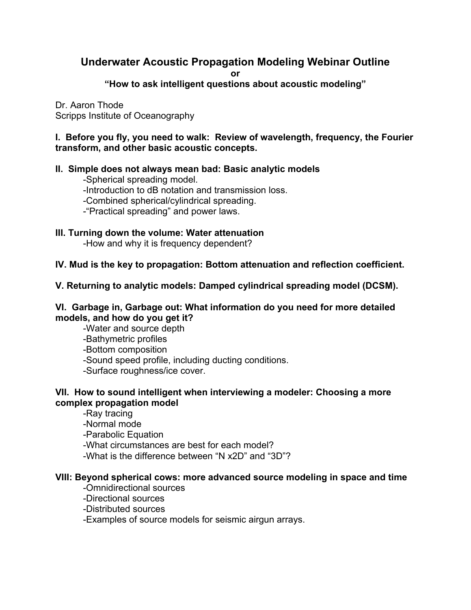# **Underwater Acoustic Propagation Modeling Webinar Outline**

**or** 

**"How to ask intelligent questions about acoustic modeling"**

Dr. Aaron Thode Scripps Institute of Oceanography

**I. Before you fly, you need to walk: Review of wavelength, frequency, the Fourier transform, and other basic acoustic concepts.**

### **II. Simple does not always mean bad: Basic analytic models**

-Spherical spreading model.

- -Introduction to dB notation and transmission loss.
- -Combined spherical/cylindrical spreading.
- -"Practical spreading" and power laws.
- **III. Turning down the volume: Water attenuation**

-How and why it is frequency dependent?

### **IV. Mud is the key to propagation: Bottom attenuation and reflection coefficient.**

### **V. Returning to analytic models: Damped cylindrical spreading model (DCSM).**

### **VI. Garbage in, Garbage out: What information do you need for more detailed models, and how do you get it?**

-Water and source depth

- -Bathymetric profiles
- -Bottom composition
- -Sound speed profile, including ducting conditions.
- -Surface roughness/ice cover.

## **VII. How to sound intelligent when interviewing a modeler: Choosing a more complex propagation model**

- -Ray tracing
- -Normal mode
- -Parabolic Equation
- -What circumstances are best for each model?
- -What is the difference between "N x2D" and "3D"?

### **VIII: Beyond spherical cows: more advanced source modeling in space and time**

- -Omnidirectional sources
- -Directional sources
- -Distributed sources
- -Examples of source models for seismic airgun arrays.